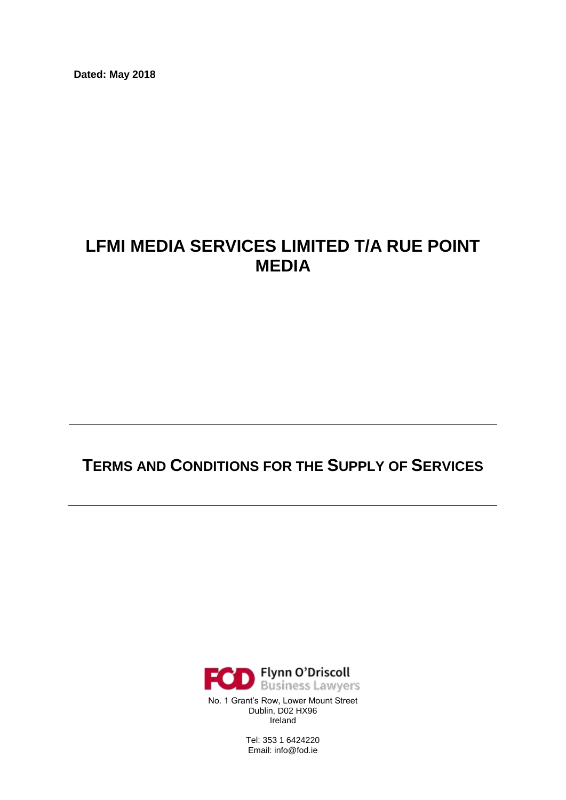**Dated: May 2018**

# **LFMI MEDIA SERVICES LIMITED T/A RUE POINT MEDIA**

## **TERMS AND CONDITIONS FOR THE SUPPLY OF SERVICES**



Tel: 353 1 6424220 Email: info@fod.ie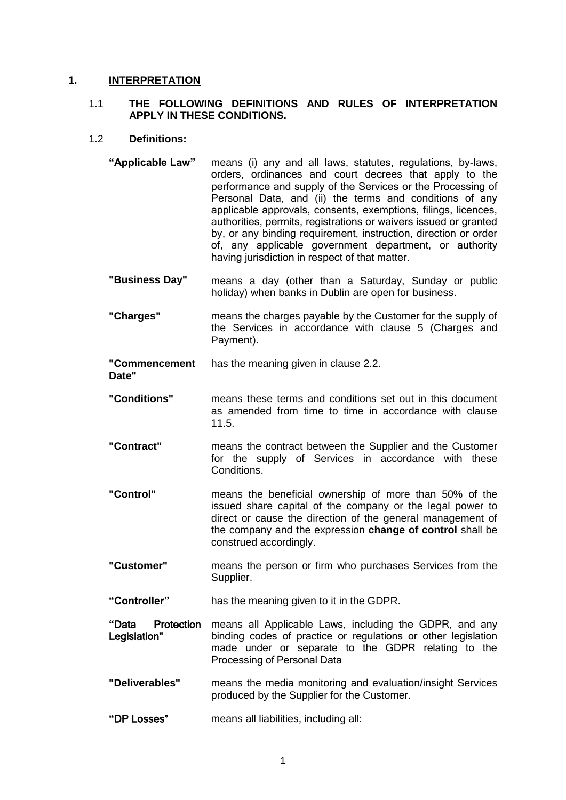#### **1. INTERPRETATION**

#### 1.1 **THE FOLLOWING DEFINITIONS AND RULES OF INTERPRETATION APPLY IN THESE CONDITIONS.**

#### 1.2 **Definitions:**

- **"Applicable Law"** means (i) any and all laws, statutes, regulations, by-laws, orders, ordinances and court decrees that apply to the performance and supply of the Services or the Processing of Personal Data, and (ii) the terms and conditions of any applicable approvals, consents, exemptions, filings, licences, authorities, permits, registrations or waivers issued or granted by, or any binding requirement, instruction, direction or order of, any applicable government department, or authority having jurisdiction in respect of that matter.
- **"Business Day"** means a day (other than a Saturday, Sunday or public holiday) when banks in Dublin are open for business.
- **"Charges"** means the charges payable by the Customer for the supply of the Services in accordance with clause [5](#page-5-0) (Charges and Payment).

**"Commencement**  has the meaning given in clause [2.2.](#page-3-0)

**Date"**

- **"Conditions"** means these terms and conditions set out in this document as amended from time to time in accordance with clause [11.5.](#page-11-0)
- **"Contract"** means the contract between the Supplier and the Customer for the supply of Services in accordance with these Conditions.
- **"Control"** means the beneficial ownership of more than 50% of the issued share capital of the company or the legal power to direct or cause the direction of the general management of the company and the expression **change of control** shall be construed accordingly.
- **"Customer"** means the person or firm who purchases Services from the Supplier.
- **"Controller"** has the meaning given to it in the GDPR.
- **"**Data Protection Legislation" means all Applicable Laws, including the GDPR, and any binding codes of practice or regulations or other legislation made under or separate to the GDPR relating to the Processing of Personal Data
- **"Deliverables"** means the media monitoring and evaluation/insight Services produced by the Supplier for the Customer.
- **"**DP Losses" means all liabilities, including all: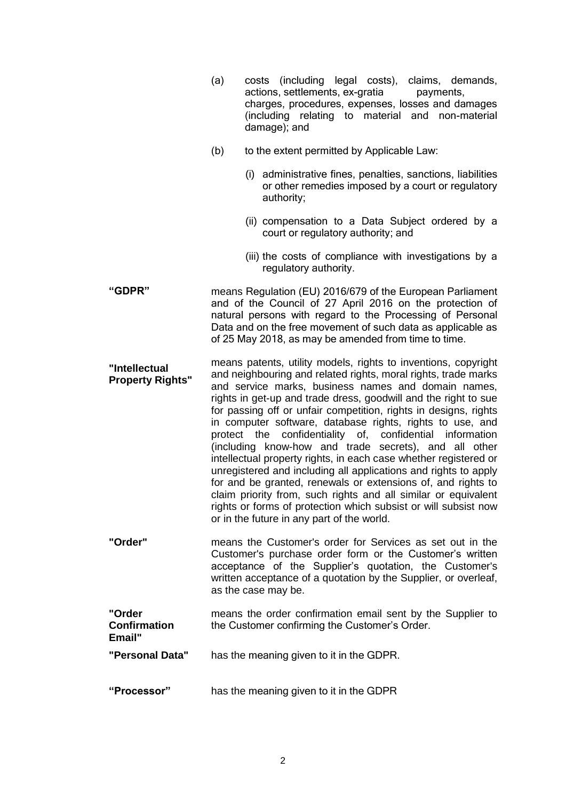|                                          | costs (including legal costs), claims, demands,<br>(a)<br>actions, settlements, ex-gratia<br>payments,<br>charges, procedures, expenses, losses and damages<br>(including relating to material and non-material<br>damage); and                                                                                                                                                                                                                                                                                                                                                                                                                                                                                                                                                                                                                                                                            |
|------------------------------------------|------------------------------------------------------------------------------------------------------------------------------------------------------------------------------------------------------------------------------------------------------------------------------------------------------------------------------------------------------------------------------------------------------------------------------------------------------------------------------------------------------------------------------------------------------------------------------------------------------------------------------------------------------------------------------------------------------------------------------------------------------------------------------------------------------------------------------------------------------------------------------------------------------------|
|                                          | (b)<br>to the extent permitted by Applicable Law:                                                                                                                                                                                                                                                                                                                                                                                                                                                                                                                                                                                                                                                                                                                                                                                                                                                          |
|                                          | (i) administrative fines, penalties, sanctions, liabilities<br>or other remedies imposed by a court or regulatory<br>authority;                                                                                                                                                                                                                                                                                                                                                                                                                                                                                                                                                                                                                                                                                                                                                                            |
|                                          | (ii) compensation to a Data Subject ordered by a<br>court or regulatory authority; and                                                                                                                                                                                                                                                                                                                                                                                                                                                                                                                                                                                                                                                                                                                                                                                                                     |
|                                          | (iii) the costs of compliance with investigations by a<br>regulatory authority.                                                                                                                                                                                                                                                                                                                                                                                                                                                                                                                                                                                                                                                                                                                                                                                                                            |
| "GDPR"                                   | means Regulation (EU) 2016/679 of the European Parliament<br>and of the Council of 27 April 2016 on the protection of<br>natural persons with regard to the Processing of Personal<br>Data and on the free movement of such data as applicable as<br>of 25 May 2018, as may be amended from time to time.                                                                                                                                                                                                                                                                                                                                                                                                                                                                                                                                                                                                  |
| "Intellectual<br><b>Property Rights"</b> | means patents, utility models, rights to inventions, copyright<br>and neighbouring and related rights, moral rights, trade marks<br>and service marks, business names and domain names,<br>rights in get-up and trade dress, goodwill and the right to sue<br>for passing off or unfair competition, rights in designs, rights<br>in computer software, database rights, rights to use, and<br>protect the confidentiality of, confidential information<br>(including know-how and trade secrets), and all other<br>intellectual property rights, in each case whether registered or<br>unregistered and including all applications and rights to apply<br>for and be granted, renewals or extensions of, and rights to<br>claim priority from, such rights and all similar or equivalent<br>rights or forms of protection which subsist or will subsist now<br>or in the future in any part of the world. |
| "Order"                                  | means the Customer's order for Services as set out in the<br>Customer's purchase order form or the Customer's written<br>acceptance of the Supplier's quotation, the Customer's<br>written acceptance of a quotation by the Supplier, or overleaf,<br>as the case may be.                                                                                                                                                                                                                                                                                                                                                                                                                                                                                                                                                                                                                                  |
| "Order<br><b>Confirmation</b><br>Email"  | means the order confirmation email sent by the Supplier to<br>the Customer confirming the Customer's Order.                                                                                                                                                                                                                                                                                                                                                                                                                                                                                                                                                                                                                                                                                                                                                                                                |
| "Personal Data"                          | has the meaning given to it in the GDPR.                                                                                                                                                                                                                                                                                                                                                                                                                                                                                                                                                                                                                                                                                                                                                                                                                                                                   |
| "Processor"                              | has the meaning given to it in the GDPR                                                                                                                                                                                                                                                                                                                                                                                                                                                                                                                                                                                                                                                                                                                                                                                                                                                                    |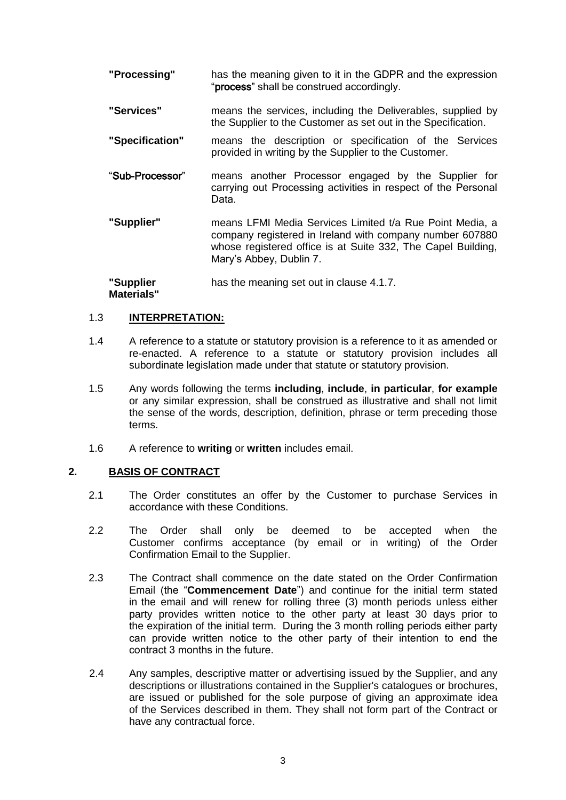- **"Processing"** has the meaning given to it in the GDPR and the expression "process" shall be construed accordingly.
- **"Services"** means the services, including the Deliverables, supplied by the Supplier to the Customer as set out in the Specification.
- **"Specification"** means the description or specification of the Services provided in writing by the Supplier to the Customer.
- "Sub-Processor" means another Processor engaged by the Supplier for carrying out Processing activities in respect of the Personal Data.
- **"Supplier"** means LFMI Media Services Limited t/a Rue Point Media, a company registered in Ireland with company number 607880 whose registered office is at Suite 332, The Capel Building, Mary's Abbey, Dublin 7.

**"Supplier Materials"** has the meaning set out in clause [4.1.7.](#page-4-0)

### 1.3 **INTERPRETATION:**

- 1.4 A reference to a statute or statutory provision is a reference to it as amended or re-enacted. A reference to a statute or statutory provision includes all subordinate legislation made under that statute or statutory provision.
- 1.5 Any words following the terms **including**, **include**, **in particular**, **for example** or any similar expression, shall be construed as illustrative and shall not limit the sense of the words, description, definition, phrase or term preceding those terms.
- 1.6 A reference to **writing** or **written** includes email.

#### **2. BASIS OF CONTRACT**

- 2.1 The Order constitutes an offer by the Customer to purchase Services in accordance with these Conditions.
- <span id="page-3-0"></span>2.2 The Order shall only be deemed to be accepted when the Customer confirms acceptance (by email or in writing) of the Order Confirmation Email to the Supplier.
- 2.3 The Contract shall commence on the date stated on the Order Confirmation Email (the "**Commencement Date**") and continue for the initial term stated in the email and will renew for rolling three (3) month periods unless either party provides written notice to the other party at least 30 days prior to the expiration of the initial term. During the 3 month rolling periods either party can provide written notice to the other party of their intention to end the contract 3 months in the future.
- 2.4 Any samples, descriptive matter or advertising issued by the Supplier, and any descriptions or illustrations contained in the Supplier's catalogues or brochures, are issued or published for the sole purpose of giving an approximate idea of the Services described in them. They shall not form part of the Contract or have any contractual force.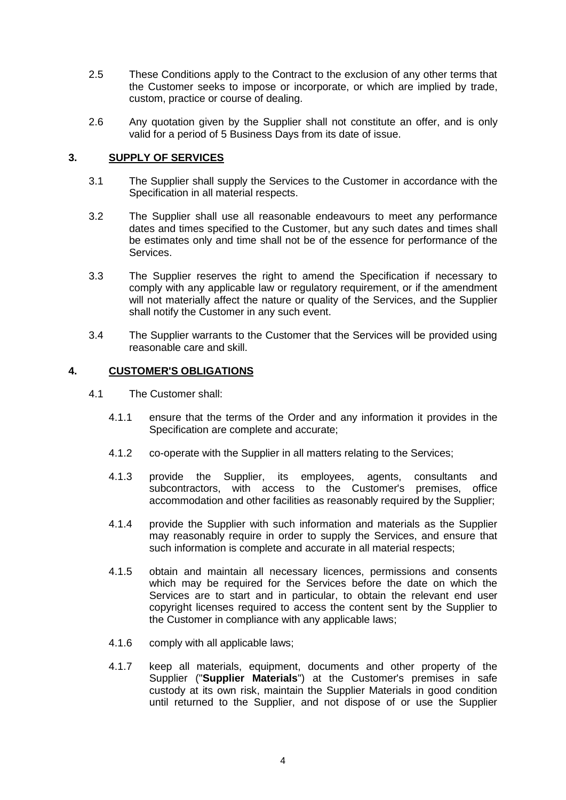- 2.5 These Conditions apply to the Contract to the exclusion of any other terms that the Customer seeks to impose or incorporate, or which are implied by trade, custom, practice or course of dealing.
- 2.6 Any quotation given by the Supplier shall not constitute an offer, and is only valid for a period of 5 Business Days from its date of issue.

#### **3. SUPPLY OF SERVICES**

- 3.1 The Supplier shall supply the Services to the Customer in accordance with the Specification in all material respects.
- 3.2 The Supplier shall use all reasonable endeavours to meet any performance dates and times specified to the Customer, but any such dates and times shall be estimates only and time shall not be of the essence for performance of the Services.
- 3.3 The Supplier reserves the right to amend the Specification if necessary to comply with any applicable law or regulatory requirement, or if the amendment will not materially affect the nature or quality of the Services, and the Supplier shall notify the Customer in any such event.
- 3.4 The Supplier warrants to the Customer that the Services will be provided using reasonable care and skill.

#### **4. CUSTOMER'S OBLIGATIONS**

- <span id="page-4-0"></span>4.1 The Customer shall:
	- 4.1.1 ensure that the terms of the Order and any information it provides in the Specification are complete and accurate;
	- 4.1.2 co-operate with the Supplier in all matters relating to the Services;
	- 4.1.3 provide the Supplier, its employees, agents, consultants and subcontractors, with access to the Customer's premises, office accommodation and other facilities as reasonably required by the Supplier;
	- 4.1.4 provide the Supplier with such information and materials as the Supplier may reasonably require in order to supply the Services, and ensure that such information is complete and accurate in all material respects;
	- 4.1.5 obtain and maintain all necessary licences, permissions and consents which may be required for the Services before the date on which the Services are to start and in particular, to obtain the relevant end user copyright licenses required to access the content sent by the Supplier to the Customer in compliance with any applicable laws;
	- 4.1.6 comply with all applicable laws;
	- 4.1.7 keep all materials, equipment, documents and other property of the Supplier ("**Supplier Materials**") at the Customer's premises in safe custody at its own risk, maintain the Supplier Materials in good condition until returned to the Supplier, and not dispose of or use the Supplier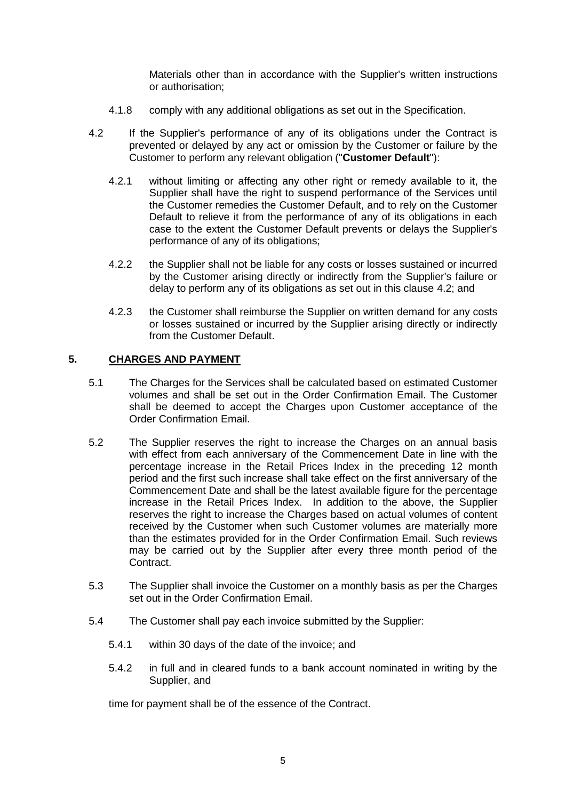Materials other than in accordance with the Supplier's written instructions or authorisation;

- 4.1.8 comply with any additional obligations as set out in the Specification.
- <span id="page-5-1"></span>4.2 If the Supplier's performance of any of its obligations under the Contract is prevented or delayed by any act or omission by the Customer or failure by the Customer to perform any relevant obligation ("**Customer Default**"):
	- 4.2.1 without limiting or affecting any other right or remedy available to it, the Supplier shall have the right to suspend performance of the Services until the Customer remedies the Customer Default, and to rely on the Customer Default to relieve it from the performance of any of its obligations in each case to the extent the Customer Default prevents or delays the Supplier's performance of any of its obligations;
	- 4.2.2 the Supplier shall not be liable for any costs or losses sustained or incurred by the Customer arising directly or indirectly from the Supplier's failure or delay to perform any of its obligations as set out in this clause [4.2;](#page-5-1) and
	- 4.2.3 the Customer shall reimburse the Supplier on written demand for any costs or losses sustained or incurred by the Supplier arising directly or indirectly from the Customer Default.

#### <span id="page-5-0"></span>**5. CHARGES AND PAYMENT**

- 5.1 The Charges for the Services shall be calculated based on estimated Customer volumes and shall be set out in the Order Confirmation Email. The Customer shall be deemed to accept the Charges upon Customer acceptance of the Order Confirmation Email.
- 5.2 The Supplier reserves the right to increase the Charges on an annual basis with effect from each anniversary of the Commencement Date in line with the percentage increase in the Retail Prices Index in the preceding 12 month period and the first such increase shall take effect on the first anniversary of the Commencement Date and shall be the latest available figure for the percentage increase in the Retail Prices Index. In addition to the above, the Supplier reserves the right to increase the Charges based on actual volumes of content received by the Customer when such Customer volumes are materially more than the estimates provided for in the Order Confirmation Email. Such reviews may be carried out by the Supplier after every three month period of the Contract.
- 5.3 The Supplier shall invoice the Customer on a monthly basis as per the Charges set out in the Order Confirmation Email.
- 5.4 The Customer shall pay each invoice submitted by the Supplier:
	- 5.4.1 within 30 days of the date of the invoice; and
	- 5.4.2 in full and in cleared funds to a bank account nominated in writing by the Supplier, and

time for payment shall be of the essence of the Contract.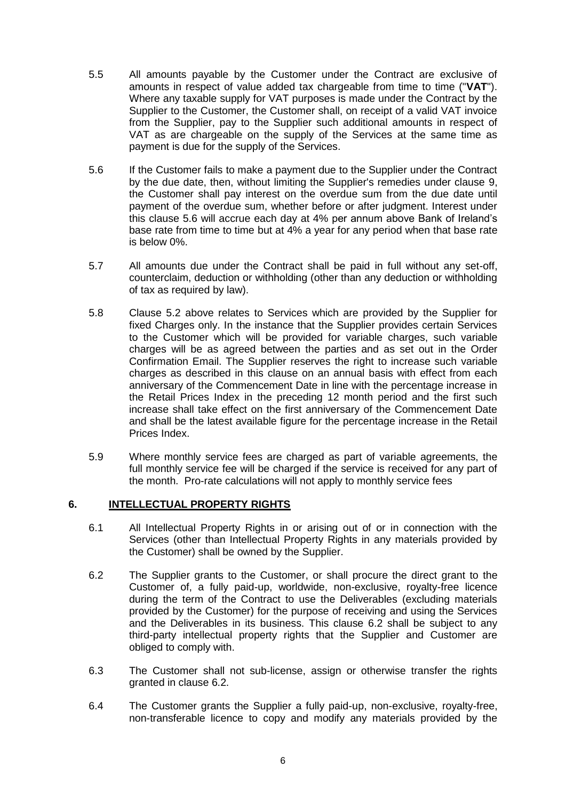- 5.5 All amounts payable by the Customer under the Contract are exclusive of amounts in respect of value added tax chargeable from time to time ("**VAT**"). Where any taxable supply for VAT purposes is made under the Contract by the Supplier to the Customer, the Customer shall, on receipt of a valid VAT invoice from the Supplier, pay to the Supplier such additional amounts in respect of VAT as are chargeable on the supply of the Services at the same time as payment is due for the supply of the Services.
- <span id="page-6-0"></span>5.6 If the Customer fails to make a payment due to the Supplier under the Contract by the due date, then, without limiting the Supplier's remedies under clause [9,](#page-9-0) the Customer shall pay interest on the overdue sum from the due date until payment of the overdue sum, whether before or after judgment. Interest under this clause [5.6](#page-6-0) will accrue each day at 4% per annum above Bank of Ireland's base rate from time to time but at 4% a year for any period when that base rate is below 0%.
- 5.7 All amounts due under the Contract shall be paid in full without any set-off, counterclaim, deduction or withholding (other than any deduction or withholding of tax as required by law).
- 5.8 Clause 5.2 above relates to Services which are provided by the Supplier for fixed Charges only. In the instance that the Supplier provides certain Services to the Customer which will be provided for variable charges, such variable charges will be as agreed between the parties and as set out in the Order Confirmation Email. The Supplier reserves the right to increase such variable charges as described in this clause on an annual basis with effect from each anniversary of the Commencement Date in line with the percentage increase in the Retail Prices Index in the preceding 12 month period and the first such increase shall take effect on the first anniversary of the Commencement Date and shall be the latest available figure for the percentage increase in the Retail Prices Index.
- 5.9 Where monthly service fees are charged as part of variable agreements, the full monthly service fee will be charged if the service is received for any part of the month. Pro-rate calculations will not apply to monthly service fees

#### **6. INTELLECTUAL PROPERTY RIGHTS**

- 6.1 All Intellectual Property Rights in or arising out of or in connection with the Services (other than Intellectual Property Rights in any materials provided by the Customer) shall be owned by the Supplier.
- 6.2 The Supplier grants to the Customer, or shall procure the direct grant to the Customer of, a fully paid-up, worldwide, non-exclusive, royalty-free licence during the term of the Contract to use the Deliverables (excluding materials provided by the Customer) for the purpose of receiving and using the Services and the Deliverables in its business. This clause 6.2 shall be subject to any third-party intellectual property rights that the Supplier and Customer are obliged to comply with.
- 6.3 The Customer shall not sub-license, assign or otherwise transfer the rights granted in clause 6.2.
- 6.4 The Customer grants the Supplier a fully paid-up, non-exclusive, royalty-free, non-transferable licence to copy and modify any materials provided by the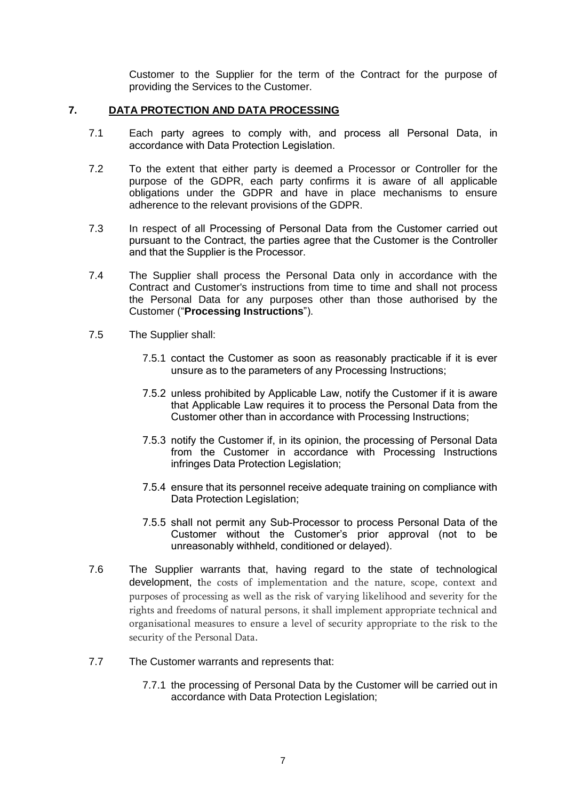Customer to the Supplier for the term of the Contract for the purpose of providing the Services to the Customer.

#### **7. DATA PROTECTION AND DATA PROCESSING**

- 7.1 Each party agrees to comply with, and process all Personal Data, in accordance with Data Protection Legislation.
- 7.2 To the extent that either party is deemed a Processor or Controller for the purpose of the GDPR, each party confirms it is aware of all applicable obligations under the GDPR and have in place mechanisms to ensure adherence to the relevant provisions of the GDPR.
- 7.3 In respect of all Processing of Personal Data from the Customer carried out pursuant to the Contract, the parties agree that the Customer is the Controller and that the Supplier is the Processor.
- 7.4 The Supplier shall process the Personal Data only in accordance with the Contract and Customer's instructions from time to time and shall not process the Personal Data for any purposes other than those authorised by the Customer ("**Processing Instructions**").
- 7.5 The Supplier shall:
	- 7.5.1 contact the Customer as soon as reasonably practicable if it is ever unsure as to the parameters of any Processing Instructions;
	- 7.5.2 unless prohibited by Applicable Law, notify the Customer if it is aware that Applicable Law requires it to process the Personal Data from the Customer other than in accordance with Processing Instructions;
	- 7.5.3 notify the Customer if, in its opinion, the processing of Personal Data from the Customer in accordance with Processing Instructions infringes Data Protection Legislation;
	- 7.5.4 ensure that its personnel receive adequate training on compliance with Data Protection Legislation;
	- 7.5.5 shall not permit any Sub-Processor to process Personal Data of the Customer without the Customer's prior approval (not to be unreasonably withheld, conditioned or delayed).
- 7.6 The Supplier warrants that, having regard to the state of technological development, the costs of implementation and the nature, scope, context and purposes of processing as well as the risk of varying likelihood and severity for the rights and freedoms of natural persons, it shall implement appropriate technical and organisational measures to ensure a level of security appropriate to the risk to the security of the Personal Data.
- 7.7 The Customer warrants and represents that:
	- 7.7.1 the processing of Personal Data by the Customer will be carried out in accordance with Data Protection Legislation;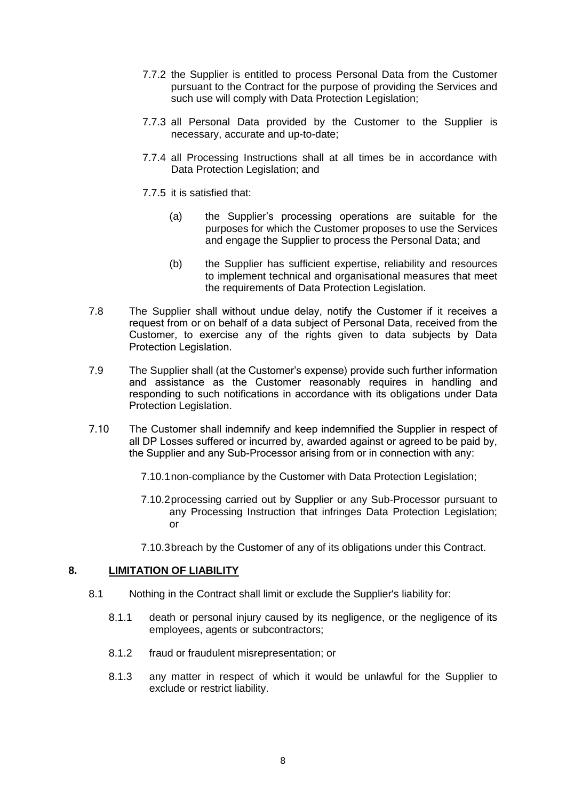- 7.7.2 the Supplier is entitled to process Personal Data from the Customer pursuant to the Contract for the purpose of providing the Services and such use will comply with Data Protection Legislation;
- 7.7.3 all Personal Data provided by the Customer to the Supplier is necessary, accurate and up-to-date;
- 7.7.4 all Processing Instructions shall at all times be in accordance with Data Protection Legislation; and
- 7.7.5 it is satisfied that:
	- (a) the Supplier's processing operations are suitable for the purposes for which the Customer proposes to use the Services and engage the Supplier to process the Personal Data; and
	- (b) the Supplier has sufficient expertise, reliability and resources to implement technical and organisational measures that meet the requirements of Data Protection Legislation.
- 7.8 The Supplier shall without undue delay, notify the Customer if it receives a request from or on behalf of a data subject of Personal Data, received from the Customer, to exercise any of the rights given to data subjects by Data Protection Legislation.
- 7.9 The Supplier shall (at the Customer's expense) provide such further information and assistance as the Customer reasonably requires in handling and responding to such notifications in accordance with its obligations under Data Protection Legislation.
- 7.10 The Customer shall indemnify and keep indemnified the Supplier in respect of all DP Losses suffered or incurred by, awarded against or agreed to be paid by, the Supplier and any Sub-Processor arising from or in connection with any:
	- 7.10.1non-compliance by the Customer with Data Protection Legislation;
	- 7.10.2processing carried out by Supplier or any Sub-Processor pursuant to any Processing Instruction that infringes Data Protection Legislation; or
	- 7.10.3breach by the Customer of any of its obligations under this Contract.

#### <span id="page-8-1"></span><span id="page-8-0"></span>**8. LIMITATION OF LIABILITY**

- 8.1 Nothing in the Contract shall limit or exclude the Supplier's liability for:
	- 8.1.1 death or personal injury caused by its negligence, or the negligence of its employees, agents or subcontractors;
	- 8.1.2 fraud or fraudulent misrepresentation; or
	- 8.1.3 any matter in respect of which it would be unlawful for the Supplier to exclude or restrict liability.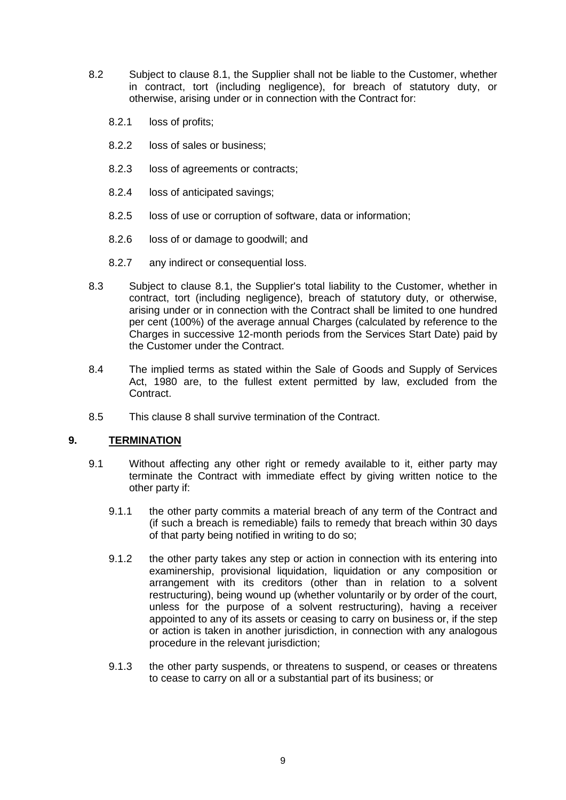- 8.2 Subject to clause [8.1,](#page-8-0) the Supplier shall not be liable to the Customer, whether in contract, tort (including negligence), for breach of statutory duty, or otherwise, arising under or in connection with the Contract for:
	- 8.2.1 loss of profits;
	- 8.2.2 loss of sales or business;
	- 8.2.3 loss of agreements or contracts;
	- 8.2.4 loss of anticipated savings;
	- 8.2.5 loss of use or corruption of software, data or information;
	- 8.2.6 loss of or damage to goodwill; and
	- 8.2.7 any indirect or consequential loss.
- 8.3 Subject to clause [8.1,](#page-8-0) the Supplier's total liability to the Customer, whether in contract, tort (including negligence), breach of statutory duty, or otherwise, arising under or in connection with the Contract shall be limited to one hundred per cent (100%) of the average annual Charges (calculated by reference to the Charges in successive 12-month periods from the Services Start Date) paid by the Customer under the Contract.
- 8.4 The implied terms as stated within the Sale of Goods and Supply of Services Act, 1980 are, to the fullest extent permitted by law, excluded from the Contract.
- 8.5 This clause [8](#page-8-1) shall survive termination of the Contract.

#### <span id="page-9-0"></span>**9. TERMINATION**

- 9.1 Without affecting any other right or remedy available to it, either party may terminate the Contract with immediate effect by giving written notice to the other party if:
	- 9.1.1 the other party commits a material breach of any term of the Contract and (if such a breach is remediable) fails to remedy that breach within 30 days of that party being notified in writing to do so;
	- 9.1.2 the other party takes any step or action in connection with its entering into examinership, provisional liquidation, liquidation or any composition or arrangement with its creditors (other than in relation to a solvent restructuring), being wound up (whether voluntarily or by order of the court, unless for the purpose of a solvent restructuring), having a receiver appointed to any of its assets or ceasing to carry on business or, if the step or action is taken in another jurisdiction, in connection with any analogous procedure in the relevant jurisdiction;
	- 9.1.3 the other party suspends, or threatens to suspend, or ceases or threatens to cease to carry on all or a substantial part of its business; or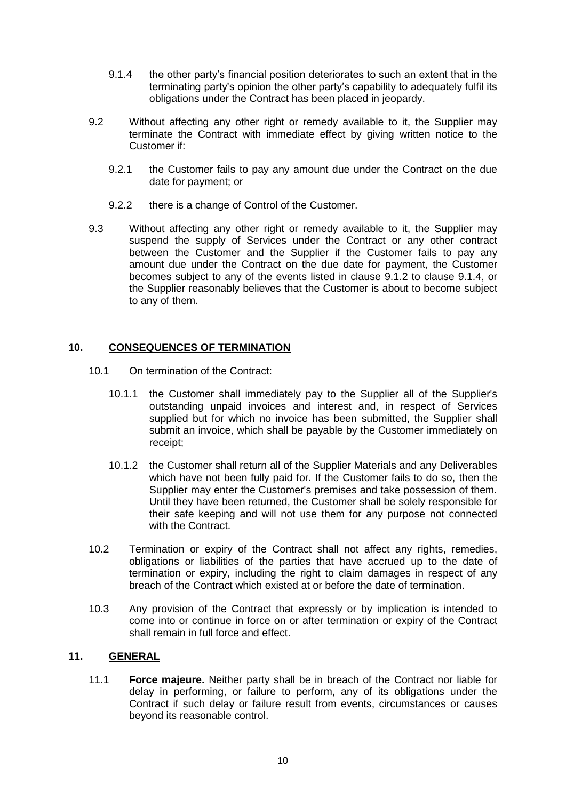- 9.1.4 the other party's financial position deteriorates to such an extent that in the terminating party's opinion the other party's capability to adequately fulfil its obligations under the Contract has been placed in jeopardy.
- 9.2 Without affecting any other right or remedy available to it, the Supplier may terminate the Contract with immediate effect by giving written notice to the Customer if:
	- 9.2.1 the Customer fails to pay any amount due under the Contract on the due date for payment; or
	- 9.2.2 there is a change of Control of the Customer.
- 9.3 Without affecting any other right or remedy available to it, the Supplier may suspend the supply of Services under the Contract or any other contract between the Customer and the Supplier if the Customer fails to pay any amount due under the Contract on the due date for payment, the Customer becomes subject to any of the events listed in clause 9.1.2 to clause 9.1.4, or the Supplier reasonably believes that the Customer is about to become subject to any of them.

#### **10. CONSEQUENCES OF TERMINATION**

- 10.1 On termination of the Contract:
	- 10.1.1 the Customer shall immediately pay to the Supplier all of the Supplier's outstanding unpaid invoices and interest and, in respect of Services supplied but for which no invoice has been submitted, the Supplier shall submit an invoice, which shall be payable by the Customer immediately on receipt;
	- 10.1.2 the Customer shall return all of the Supplier Materials and any Deliverables which have not been fully paid for. If the Customer fails to do so, then the Supplier may enter the Customer's premises and take possession of them. Until they have been returned, the Customer shall be solely responsible for their safe keeping and will not use them for any purpose not connected with the Contract.
- 10.2 Termination or expiry of the Contract shall not affect any rights, remedies, obligations or liabilities of the parties that have accrued up to the date of termination or expiry, including the right to claim damages in respect of any breach of the Contract which existed at or before the date of termination.
- 10.3 Any provision of the Contract that expressly or by implication is intended to come into or continue in force on or after termination or expiry of the Contract shall remain in full force and effect.

#### **11. GENERAL**

11.1 **Force majeure.** Neither party shall be in breach of the Contract nor liable for delay in performing, or failure to perform, any of its obligations under the Contract if such delay or failure result from events, circumstances or causes beyond its reasonable control.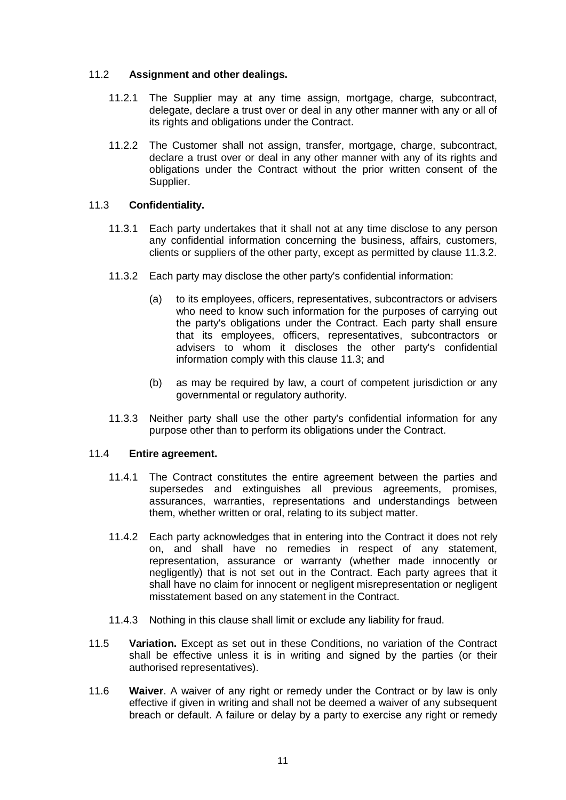#### 11.2 **Assignment and other dealings.**

- 11.2.1 The Supplier may at any time assign, mortgage, charge, subcontract, delegate, declare a trust over or deal in any other manner with any or all of its rights and obligations under the Contract.
- 11.2.2 The Customer shall not assign, transfer, mortgage, charge, subcontract, declare a trust over or deal in any other manner with any of its rights and obligations under the Contract without the prior written consent of the Supplier.

#### <span id="page-11-2"></span>11.3 **Confidentiality.**

- 11.3.1 Each party undertakes that it shall not at any time disclose to any person any confidential information concerning the business, affairs, customers, clients or suppliers of the other party, except as permitted by clause [11.3.2.](#page-11-1)
- <span id="page-11-1"></span>11.3.2 Each party may disclose the other party's confidential information:
	- (a) to its employees, officers, representatives, subcontractors or advisers who need to know such information for the purposes of carrying out the party's obligations under the Contract. Each party shall ensure that its employees, officers, representatives, subcontractors or advisers to whom it discloses the other party's confidential information comply with this clause [11.3;](#page-11-2) and
	- (b) as may be required by law, a court of competent jurisdiction or any governmental or regulatory authority.
- 11.3.3 Neither party shall use the other party's confidential information for any purpose other than to perform its obligations under the Contract.

#### 11.4 **Entire agreement.**

- 11.4.1 The Contract constitutes the entire agreement between the parties and supersedes and extinguishes all previous agreements, promises, assurances, warranties, representations and understandings between them, whether written or oral, relating to its subject matter.
- 11.4.2 Each party acknowledges that in entering into the Contract it does not rely on, and shall have no remedies in respect of any statement, representation, assurance or warranty (whether made innocently or negligently) that is not set out in the Contract. Each party agrees that it shall have no claim for innocent or negligent misrepresentation or negligent misstatement based on any statement in the Contract.
- 11.4.3 Nothing in this clause shall limit or exclude any liability for fraud.
- <span id="page-11-0"></span>11.5 **Variation.** Except as set out in these Conditions, no variation of the Contract shall be effective unless it is in writing and signed by the parties (or their authorised representatives).
- 11.6 **Waiver**. A waiver of any right or remedy under the Contract or by law is only effective if given in writing and shall not be deemed a waiver of any subsequent breach or default. A failure or delay by a party to exercise any right or remedy